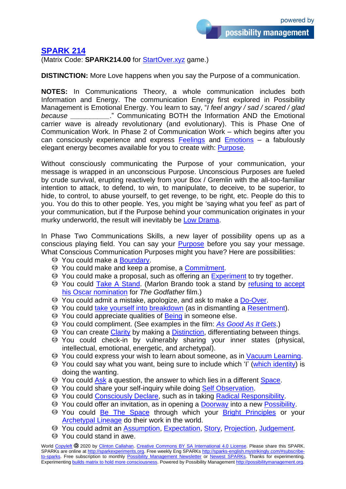## **[SPARK 214](http://sparks-english.mystrikingly.com/)**

(Matrix Code: **SPARK214.00** for [StartOver.xyz](http://startoverxyz.mystrikingly.com/) game.)

**DISTINCTION:** More Love happens when you say the Purpose of a communication.

**NOTES:** In Communications Theory, a whole communication includes both Information and Energy. The communication Energy first explored in Possibility Management is Emotional Energy. You learn to say, "*I feel angry / sad / scared / glad because \_\_\_\_\_\_\_\_\_\_*." Communicating BOTH the Information AND the Emotional carrier wave is already revolutionary (and evolutionary). This is Phase One of Communication Work. In Phase 2 of Communication Work – which begins after you can consciously experience and express  $Feelings$  and  $Emotions - a$  $Emotions - a$  fabulously elegant energy becomes available for you to create with: [Purpose.](http://mapofpossibility.mystrikingly.com/)

Without consciously communicating the Purpose of your communication, your message is wrapped in an unconscious Purpose. Unconscious Purposes are fueled by crude survival, erupting reactively from your Box / Gremlin with the all-too-familiar intention to attack, to defend, to win, to manipulate, to deceive, to be superior, to hide, to control, to abuse yourself, to get revenge, to be right, etc. People do this to you. You do this to other people. Yes, you might be 'saying what you feel' as part of your communication, but if the Purpose behind your communication originates in your murky underworld, the result will inevitably be [Low Drama.](http://2dramas.mystrikingly.com/)

In Phase Two Communications Skills, a new layer of possibility opens up as a conscious playing field. You can say your **[Purpose](http://purposesniffer.mystrikingly.com/)** before you say your message. What Conscious Communication Purposes might you have? Here are possibilities:

- $\odot$  You could make a [Boundary.](http://saystop.mystrikingly.com/)
- **EXT** You could make and keep a promise, a [Commitment.](http://becomecommitted.mystrikingly.com/)
- $\Theta$  You could make a proposal, such as offering an [Experiment](http://becomeanexperimenter.mystrikingly.com/) to try together.
- You could [Take A](http://takeastand.mystrikingly.com/) Stand. (Marlon Brando took a stand by [refusing to accept](https://www.youtube.com/watch?v=rcCKczj4aK4)  [his Oscar nomination](https://www.youtube.com/watch?v=rcCKczj4aK4) for *The Godfather* film.)
- $\Theta$  You could admit a mistake, apologize, and ask to make a [Do-Over.](http://do-over.mystrikingly.com/)
- $\Theta$  You could [take yourself into breakdown](http://liquidstate.mystrikingly.com/) (as in dismantling a [Resentment\)](http://resentment.mystrikingly.com/).
- <sup>→</sup> You could appreciate qualities of [Being](http://yourbeing.mystrikingly.com/) in someone else.
- You could compliment. (See examples in the film: *[As Good As It Gets](https://www.imdb.com/title/tt0119822/)*.)
- **E** You can create [Clarity](http://swordofclarity.mystrikingly.com/) by making a [Distinction,](http://distinction.mystrikingly.com/) differentiating between things.
- You could check-in by vulnerably sharing your inner states (physical, intellectual, emotional, energetic, and archetypal).
- You could express your wish to learn about someone, as in [Vacuum Learning.](http://vacuumlearning.mystrikingly.com/)
- You could say what you want, being sure to include which 'I' [\(which identity\)](http://disidentification.mystrikingly.com/) is doing the wanting.
- **EXECUTE:** You could [Ask](http://asking.mystrikingly.com/) a question, the answer to which lies in a different [Space.](http://becomeaspace.mystrikingly.com/)
- **EXECUTE:** You could share your self-inquiry while doing Self [Observation.](http://selfobservation.mystrikingly.com/)
- $\Theta$  You could [Consciously Declare,](http://declaring.mystrikingly.com/) such as in taking [Radical Responsibility.](http://radicalresponsibility.mystrikingly.com/)
- **E** You could offer an invitation, as in opening a **Doorway** into a new [Possibility.](http://possibility.mystrikingly.com/)
- You could [Be The Space](http://becomeaspace.mystrikingly.com/) through which your [Bright Principles](http://brightprinciples.mystrikingly.com/) or your [Archetypal Lineage](http://archetypallineage.mystrikingly.com/) do their work in the world.
- You could admit an [Assumption,](http://assumptions.mystrikingly.com/) [Expectation,](http://expectations.mystrikingly.com/) [Story,](http://storyworld.mystrikingly.com/) [Projection,](http://projections.mystrikingly.com/) [Judgement.](http://judgements.mystrikingly.com/)
- $\Theta$  You could stand in awe.